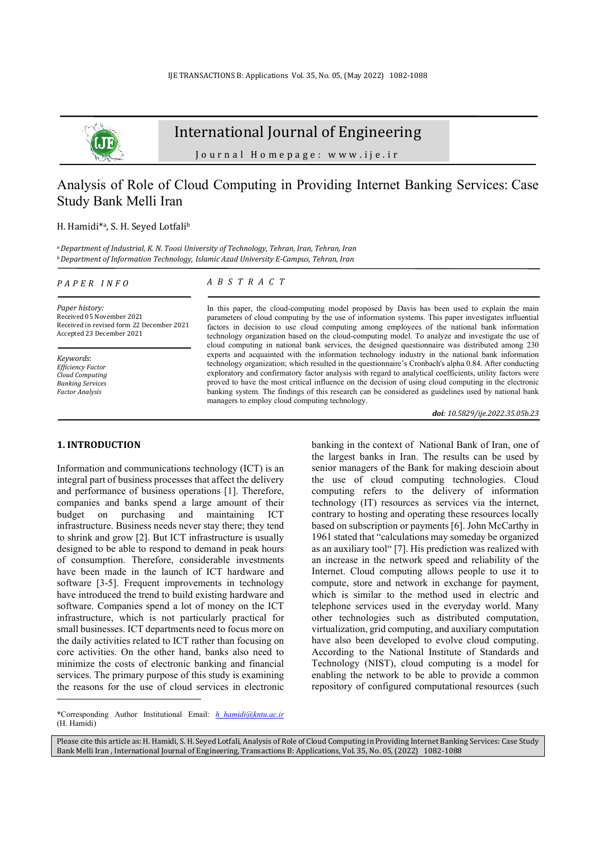

# International Journal of Engineering

Journal Homepage: www.ije.ir

# Analysis of Role of Cloud Computing in Providing Internet Banking Services: Case Study Bank Melli Iran

# H. Hamidi<sup>\*a</sup>, S. H. Seyed Lotfali<sup>b</sup>

*<sup>a</sup>Department of Industrial, K. N. Toosi University of Technology, Tehran, Iran, Tehran, Iran <sup>b</sup>Department of Information Technology, Islamic Azad University E-Campus, Tehran, Iran* 

*A B S T R A C T* 

#### *P A P E R I N F O*

*Paper history:*  Received 05 November 2021 Received in revised form 22 December 2021 Accepted 23 December 2021

*Keywords*: *Efficiency Factor Cloud Computing Banking Services Factor Analysis*

#### **1. INTRODUCTION<sup>1</sup>**

Information and communications technology (ICT) is an integral part of business processes that affect the delivery and performance of business operations [1]. Therefore, companies and banks spend a large amount of their budget on purchasing and maintaining ICT infrastructure. Business needs never stay there; they tend to shrink and grow [2]. But ICT infrastructure is usually designed to be able to respond to demand in peak hours of consumption. Therefore, considerable investments have been made in the launch of ICT hardware and software [3-5]. Frequent improvements in technology have introduced the trend to build existing hardware and software. Companies spend a lot of money on the ICT infrastructure, which is not particularly practical for small businesses. ICT departments need to focus more on the daily activities related to ICT rather than focusing on core activities. On the other hand, banks also need to minimize the costs of electronic banking and financial services. The primary purpose of this study is examining the reasons for the use of cloud services in electronic

#### In this paper, the cloud-computing model proposed by Davis has been used to explain the main parameters of cloud computing by the use of information systems. This paper investigates influential factors in decision to use cloud computing among employees of the national bank information technology organization based on the cloud-computing model. To analyze and investigate the use of cloud computing in national bank services, the designed questionnaire was distributed among 230 experts and acquainted with the information technology industry in the national bank information technology organization; which resulted in the questionnaire's Cronbach's alpha 0.84. After conducting exploratory and confirmatory factor analysis with regard to analytical coefficients, utility factors were proved to have the most critical influence on the decision of using cloud computing in the electronic banking system. The findings of this research can be considered as guidelines used by national bank managers to employ cloud computing technology.

*doi: 10.5829/ije.2022.35.05b.23*

banking in the context of National Bank of Iran, one of the largest banks in Iran. The results can be used by senior managers of the Bank for making descioin about the use of cloud computing technologies. Cloud computing refers to the delivery of information technology (IT) resources as services via the internet, contrary to hosting and operating these resources locally based on subscription or payments [6]. John McCarthy in 1961 stated that "calculations may someday be organized as an auxiliary tool" [7]. His prediction was realized with an increase in the network speed and reliability of the Internet. Cloud computing allows people to use it to compute, store and network in exchange for payment, which is similar to the method used in electric and telephone services used in the everyday world. Many other technologies such as distributed computation, virtualization, grid computing, and auxiliary computation have also been developed to evolve cloud computing. According to the National Institute of Standards and Technology (NIST), cloud computing is a model for enabling the network to be able to provide a common repository of configured computational resources (such

Please cite this article as: H. Hamidi, S. H. Seyed Lotfali, Analysis of Role of Cloud Computing in Providing Internet Banking Services: Case Study Bank Melli Iran , International Journal of Engineering, Transactions B: Applications, Vol. 35, No. 05, (2022) 1082-1088

<sup>\*</sup>Corresponding Author Institutional Email: *h\_hamidi@kntu.ac.ir* (H. Hamidi)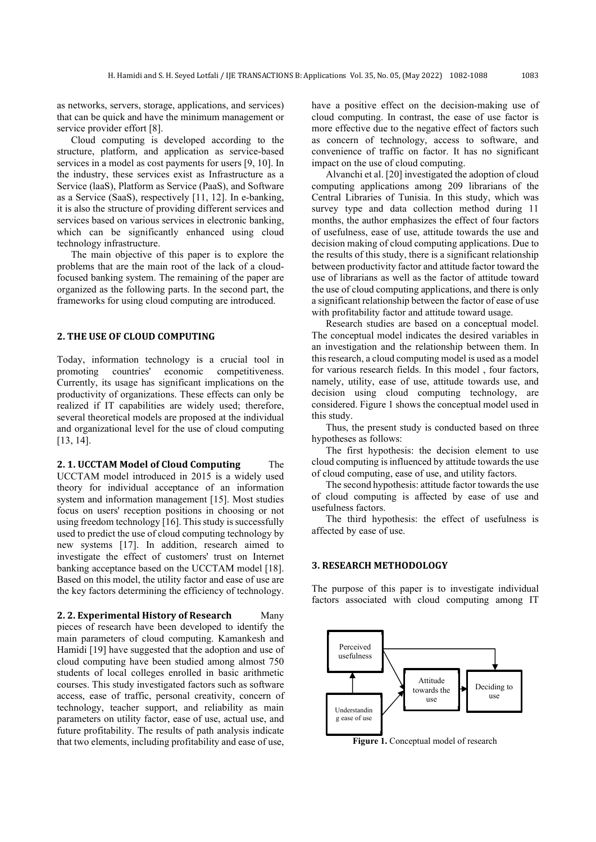as networks, servers, storage, applications, and services) that can be quick and have the minimum management or service provider effort [8].

Cloud computing is developed according to the structure, platform, and application as service-based services in a model as cost payments for users [9, 10]. In the industry, these services exist as Infrastructure as a Service (laaS), Platform as Service (PaaS), and Software as a Service (SaaS), respectively [11, 12]. In e-banking, it is also the structure of providing different services and services based on various services in electronic banking, which can be significantly enhanced using cloud technology infrastructure.

The main objective of this paper is to explore the problems that are the main root of the lack of a cloudfocused banking system. The remaining of the paper are organized as the following parts. In the second part, the frameworks for using cloud computing are introduced.

## **2. THE USE OF CLOUD COMPUTING**

Today, information technology is a crucial tool in promoting countries' economic competitiveness. Currently, its usage has significant implications on the productivity of organizations. These effects can only be realized if IT capabilities are widely used; therefore, several theoretical models are proposed at the individual and organizational level for the use of cloud computing [13, 14].

**2. 1. UCCTAM Model of Cloud Computing** The UCCTAM model introduced in 2015 is a widely used theory for individual acceptance of an information system and information management [15]. Most studies focus on users' reception positions in choosing or not using freedom technology [16]. This study is successfully used to predict the use of cloud computing technology by new systems [17]. In addition, research aimed to investigate the effect of customers' trust on Internet banking acceptance based on the UCCTAM model [18]. Based on this model, the utility factor and ease of use are the key factors determining the efficiency of technology.

**2. 2. Experimental History of Research** Many pieces of research have been developed to identify the main parameters of cloud computing. Kamankesh and Hamidi [19] have suggested that the adoption and use of cloud computing have been studied among almost 750 students of local colleges enrolled in basic arithmetic courses. This study investigated factors such as software access, ease of traffic, personal creativity, concern of technology, teacher support, and reliability as main parameters on utility factor, ease of use, actual use, and future profitability. The results of path analysis indicate that two elements, including profitability and ease of use, have a positive effect on the decision-making use of cloud computing. In contrast, the ease of use factor is more effective due to the negative effect of factors such as concern of technology, access to software, and convenience of traffic on factor. It has no significant impact on the use of cloud computing.

Alvanchi et al. [20] investigated the adoption of cloud computing applications among 209 librarians of the Central Libraries of Tunisia. In this study, which was survey type and data collection method during 11 months, the author emphasizes the effect of four factors of usefulness, ease of use, attitude towards the use and decision making of cloud computing applications. Due to the results of this study, there is a significant relationship between productivity factor and attitude factor toward the use of librarians as well as the factor of attitude toward the use of cloud computing applications, and there is only a significant relationship between the factor of ease of use with profitability factor and attitude toward usage.

Research studies are based on a conceptual model. The conceptual model indicates the desired variables in an investigation and the relationship between them. In this research, a cloud computing model is used as a model for various research fields. In this model , four factors, namely, utility, ease of use, attitude towards use, and decision using cloud computing technology, are considered. Figure 1 shows the conceptual model used in this study.

Thus, the present study is conducted based on three hypotheses as follows:

The first hypothesis: the decision element to use cloud computing is influenced by attitude towards the use of cloud computing, ease of use, and utility factors.

The second hypothesis: attitude factor towards the use of cloud computing is affected by ease of use and usefulness factors.

The third hypothesis: the effect of usefulness is affected by ease of use.

## **3. RESEARCH METHODOLOGY**

The purpose of this paper is to investigate individual factors associated with cloud computing among IT



**Figure 1.** Conceptual model of research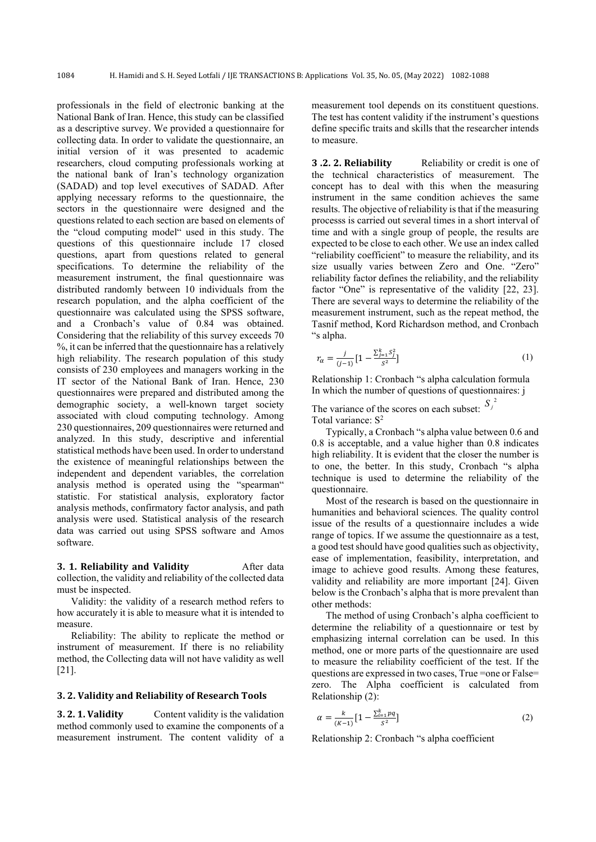professionals in the field of electronic banking at the National Bank of Iran. Hence, this study can be classified as a descriptive survey. We provided a questionnaire for collecting data. In order to validate the questionnaire, an initial version of it was presented to academic researchers, cloud computing professionals working at the national bank of Iran's technology organization (SADAD) and top level executives of SADAD. After applying necessary reforms to the questionnaire, the sectors in the questionnaire were designed and the questions related to each section are based on elements of the "cloud computing model" used in this study. The questions of this questionnaire include 17 closed questions, apart from questions related to general specifications. To determine the reliability of the measurement instrument, the final questionnaire was distributed randomly between 10 individuals from the research population, and the alpha coefficient of the questionnaire was calculated using the SPSS software, and a Cronbach's value of 0.84 was obtained. Considering that the reliability of this survey exceeds 70 %, it can be inferred that the questionnaire has a relatively high reliability. The research population of this study consists of 230 employees and managers working in the IT sector of the National Bank of Iran. Hence, 230 questionnaires were prepared and distributed among the demographic society, a well-known target society associated with cloud computing technology. Among 230 questionnaires, 209 questionnaires were returned and analyzed. In this study, descriptive and inferential statistical methods have been used. In order to understand the existence of meaningful relationships between the independent and dependent variables, the correlation analysis method is operated using the "spearman" statistic. For statistical analysis, exploratory factor analysis methods, confirmatory factor analysis, and path analysis were used. Statistical analysis of the research data was carried out using SPSS software and Amos software.

#### **3. 1. Reliability and Validity After data** collection, the validity and reliability of the collected data

must be inspected. Validity: the validity of a research method refers to how accurately it is able to measure what it is intended to measure.

Reliability: The ability to replicate the method or instrument of measurement. If there is no reliability method, the Collecting data will not have validity as well [21].

# **3. 2. Validity and Reliability of Research Tools**

**3. 2. 1. Validity** Content validity is the validation method commonly used to examine the components of a measurement instrument. The content validity of a measurement tool depends on its constituent questions. The test has content validity if the instrument's questions define specific traits and skills that the researcher intends to measure.

**3.2. 2. Reliability** Reliability or credit is one of the technical characteristics of measurement. The concept has to deal with this when the measuring instrument in the same condition achieves the same results. The objective of reliability is that if the measuring processs is carried out several times in a short interval of time and with a single group of people, the results are expected to be close to each other. We use an index called "reliability coefficient" to measure the reliability, and its size usually varies between Zero and One. "Zero" reliability factor defines the reliability, and the reliability factor "One" is representative of the validity [22, 23]. There are several ways to determine the reliability of the measurement instrument, such as the repeat method, the Tasnif method, Kord Richardson method, and Cronbach "s alpha.

$$
r_{\alpha} = \frac{j}{(j-1)} \left[ 1 - \frac{\sum_{j=1}^{k} S_{j}^{2}}{S^{2}} \right]
$$
 (1)

Relationship 1: Cronbach "s alpha calculation formula In which the number of questions of questionnaires: j

The variance of the scores on each subset:  $S_j^2$ Total variance: S<sup>2</sup>

Typically, a Cronbach "s alpha value between 0.6 and 0.8 is acceptable, and a value higher than 0.8 indicates high reliability. It is evident that the closer the number is to one, the better. In this study, Cronbach "s alpha technique is used to determine the reliability of the questionnaire.

Most of the research is based on the questionnaire in humanities and behavioral sciences. The quality control issue of the results of a questionnaire includes a wide range of topics. If we assume the questionnaire as a test, a good test should have good qualities such as objectivity, ease of implementation, feasibility, interpretation, and image to achieve good results. Among these features, validity and reliability are more important [24]. Given below is the Cronbach's alpha that is more prevalent than other methods:

The method of using Cronbach's alpha coefficient to determine the reliability of a questionnaire or test by emphasizing internal correlation can be used. In this method, one or more parts of the questionnaire are used to measure the reliability coefficient of the test. If the questions are expressed in two cases, True =one or False= zero. The Alpha coefficient is calculated from Relationship (2):

$$
\alpha = \frac{k}{(K-1)} \left[ 1 - \frac{\sum_{i=1}^{k} pq}{S^2} \right] \tag{2}
$$

Relationship 2: Cronbach "s alpha coefficient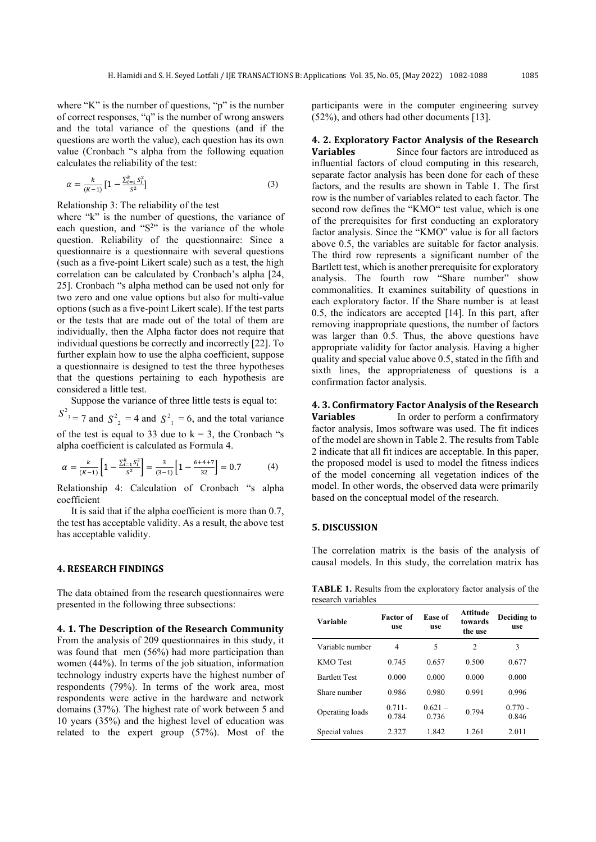where "K" is the number of questions, "p" is the number of correct responses, "q" is the number of wrong answers and the total variance of the questions (and if the questions are worth the value), each question has its own value (Cronbach "s alpha from the following equation calculates the reliability of the test:

$$
\alpha = \frac{k}{(K-1)} \left[ 1 - \frac{\sum_{i=1}^{k} S_i^2}{S^2} \right] \tag{3}
$$

Relationship 3: The reliability of the test

where "k" is the number of questions, the variance of each question, and " $S<sup>2</sup>$ " is the variance of the whole question. Reliability of the questionnaire: Since a questionnaire is a questionnaire with several questions (such as a five-point Likert scale) such as a test, the high correlation can be calculated by Cronbach's alpha [24, 25]. Cronbach "s alpha method can be used not only for two zero and one value options but also for multi-value options (such as a five-point Likert scale). If the test parts or the tests that are made out of the total of them are individually, then the Alpha factor does not require that individual questions be correctly and incorrectly [22]. To further explain how to use the alpha coefficient, suppose a questionnaire is designed to test the three hypotheses that the questions pertaining to each hypothesis are considered a little test.

Suppose the variance of three little tests is equal to:

 $S^2$ <sub>3</sub> = 7 and  $S^2$ <sub>2</sub> = 4 and  $S^2$ <sub>1</sub> = 6, and the total variance of the test is equal to 33 due to  $k = 3$ , the Cronbach "s alpha coefficient is calculated as Formula 4.

$$
\alpha = \frac{k}{(K-1)} \left[ 1 - \frac{\sum_{i=1}^{K} S_i^2}{S^2} \right] = \frac{3}{(3-1)} \left[ 1 - \frac{6+4+7}{32} \right] = 0.7 \tag{4}
$$

Relationship 4: Calculation of Cronbach "s alpha coefficient

It is said that if the alpha coefficient is more than 0.7, the test has acceptable validity. As a result, the above test has acceptable validity.

### **4. RESEARCH FINDINGS**

The data obtained from the research questionnaires were presented in the following three subsections:

### **4. 1. The Description of the Research Community**

From the analysis of 209 questionnaires in this study, it was found that men (56%) had more participation than women (44%). In terms of the job situation, information technology industry experts have the highest number of respondents (79%). In terms of the work area, most respondents were active in the hardware and network domains (37%). The highest rate of work between 5 and 10 years (35%) and the highest level of education was related to the expert group (57%). Most of the participants were in the computer engineering survey (52%), and others had other documents [13].

**4. 2. Exploratory Factor Analysis of the Research Variables** Since four factors are introduced as influential factors of cloud computing in this research, separate factor analysis has been done for each of these factors, and the results are shown in Table 1. The first row is the number of variables related to each factor. The second row defines the "KMO" test value, which is one of the prerequisites for first conducting an exploratory factor analysis. Since the "KMO" value is for all factors above 0.5, the variables are suitable for factor analysis. The third row represents a significant number of the Bartlett test, which is another prerequisite for exploratory analysis. The fourth row "Share number" show commonalities. It examines suitability of questions in each exploratory factor. If the Share number is at least 0.5, the indicators are accepted [14]. In this part, after removing inappropriate questions, the number of factors was larger than 0.5. Thus, the above questions have appropriate validity for factor analysis. Having a higher quality and special value above 0.5, stated in the fifth and sixth lines, the appropriateness of questions is a confirmation factor analysis.

**4. 3. Confirmatory Factor Analysis of the Research Variables In order to perform a confirmatory** factor analysis, Imos software was used. The fit indices of the model are shown in Table 2. The results from Table 2 indicate that all fit indices are acceptable. In this paper, the proposed model is used to model the fitness indices of the model concerning all vegetation indices of the model. In other words, the observed data were primarily based on the conceptual model of the research.

#### **5. DISCUSSION**

The correlation matrix is the basis of the analysis of causal models. In this study, the correlation matrix has

**TABLE 1.** Results from the exploratory factor analysis of the research variables

| Variable             | <b>Factor</b> of<br>use | Ease of<br>use     | <b>Attitude</b><br>towards<br>the use | Deciding to<br>use |
|----------------------|-------------------------|--------------------|---------------------------------------|--------------------|
| Variable number      | 4                       | 5                  | 2                                     | 3                  |
| <b>KMO</b> Test      | 0.745                   | 0.657              | 0.500                                 | 0.677              |
| <b>Bartlett Test</b> | 0.000                   | 0.000              | 0.000                                 | 0.000              |
| Share number         | 0.986                   | 0.980              | 0.991                                 | 0.996              |
| Operating loads      | $0.711 -$<br>0.784      | $0.621 -$<br>0.736 | 0.794                                 | $0.770 -$<br>0.846 |
| Special values       | 2.327                   | 1.842              | 1.261                                 | 2.011              |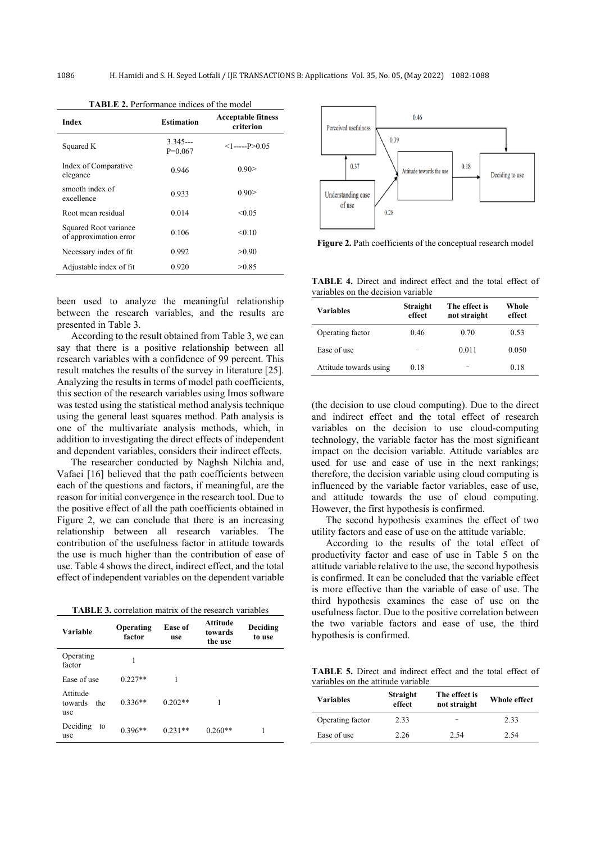| <b>Index</b>                                    | <b>Estimation</b>      | <b>Acceptable fitness</b><br>criterion |
|-------------------------------------------------|------------------------|----------------------------------------|
| Squared K                                       | $3.345--$<br>$P=0.067$ | $<1$ ------P $> 0.05$                  |
| Index of Comparative<br>elegance                | 0.946                  | 0.90>                                  |
| smooth index of<br>excellence                   | 0.933                  | 0.90>                                  |
| Root mean residual                              | 0.014                  | < 0.05                                 |
| Squared Root variance<br>of approximation error | 0.106                  | < 0.10                                 |
| Necessary index of fit                          | 0.992                  | > 0.90                                 |
| Adjustable index of fit                         | 0.920                  | >0.85                                  |

**TABLE 2.** Performance indices of the model

been used to analyze the meaningful relationship between the research variables, and the results are presented in Table 3.

According to the result obtained from Table 3, we can say that there is a positive relationship between all research variables with a confidence of 99 percent. This result matches the results of the survey in literature [25]. Analyzing the results in terms of model path coefficients, this section of the research variables using Imos software was tested using the statistical method analysis technique using the general least squares method. Path analysis is one of the multivariate analysis methods, which, in addition to investigating the direct effects of independent and dependent variables, considers their indirect effects.

The researcher conducted by Naghsh Nilchia and, Vafaei [16] believed that the path coefficients between each of the questions and factors, if meaningful, are the reason for initial convergence in the research tool. Due to the positive effect of all the path coefficients obtained in Figure 2, we can conclude that there is an increasing relationship between all research variables. The contribution of the usefulness factor in attitude towards the use is much higher than the contribution of ease of use. Table 4 shows the direct, indirect effect, and the total effect of independent variables on the dependent variable

**TABLE 3.** correlation matrix of the research variables

| Variable                          | Operating<br>factor | Ease of<br>use | Attitude<br>towards<br>the use | Deciding<br>to use |
|-----------------------------------|---------------------|----------------|--------------------------------|--------------------|
| Operating<br>factor               | 1                   |                |                                |                    |
| Ease of use                       | $0.227**$           |                |                                |                    |
| Attitude<br>towards<br>the<br>use | $0.336**$           | $0.202**$      |                                |                    |
| Deciding<br>to<br>use             | $0.396**$           | $0.231**$      | $0.260**$                      | 1                  |



**Figure 2.** Path coefficients of the conceptual research model

**TABLE 4.** Direct and indirect effect and the total effect of variables on the decision variable

| Variables              | Straight<br>effect | The effect is<br>not straight | Whole<br>effect |
|------------------------|--------------------|-------------------------------|-----------------|
| Operating factor       | 0.46               | 0.70                          | 0.53            |
| Ease of use            |                    | 0.011                         | 0.050           |
| Attitude towards using | 0.18               |                               | 0.18            |

(the decision to use cloud computing). Due to the direct and indirect effect and the total effect of research variables on the decision to use cloud-computing technology, the variable factor has the most significant impact on the decision variable. Attitude variables are used for use and ease of use in the next rankings; therefore, the decision variable using cloud computing is influenced by the variable factor variables, ease of use, and attitude towards the use of cloud computing. However, the first hypothesis is confirmed.

The second hypothesis examines the effect of two utility factors and ease of use on the attitude variable.

According to the results of the total effect of productivity factor and ease of use in Table 5 on the attitude variable relative to the use, the second hypothesis is confirmed. It can be concluded that the variable effect is more effective than the variable of ease of use. The third hypothesis examines the ease of use on the usefulness factor. Due to the positive correlation between the two variable factors and ease of use, the third hypothesis is confirmed.

**TABLE 5.** Direct and indirect effect and the total effect of variables on the attitude variable

| <b>Variables</b> | Straight<br>effect | The effect is<br>not straight | Whole effect |
|------------------|--------------------|-------------------------------|--------------|
| Operating factor | 2.33               | -                             | 2.33         |
| Ease of use      | 2.26               | 2.54                          | 2.54         |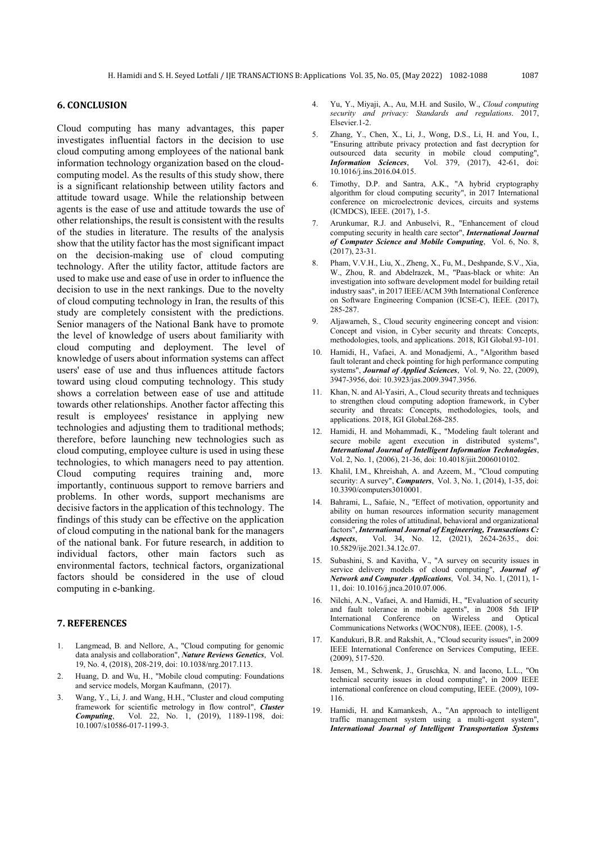## **6. CONCLUSION**

Cloud computing has many advantages, this paper investigates influential factors in the decision to use cloud computing among employees of the national bank information technology organization based on the cloudcomputing model. As the results of this study show, there is a significant relationship between utility factors and attitude toward usage. While the relationship between agents is the ease of use and attitude towards the use of other relationships, the result is consistent with the results of the studies in literature. The results of the analysis show that the utility factor has the most significant impact on the decision-making use of cloud computing technology. After the utility factor, attitude factors are used to make use and ease of use in order to influence the decision to use in the next rankings. Due to the novelty of cloud computing technology in Iran, the results of this study are completely consistent with the predictions. Senior managers of the National Bank have to promote the level of knowledge of users about familiarity with cloud computing and deployment. The level of knowledge of users about information systems can affect users' ease of use and thus influences attitude factors toward using cloud computing technology. This study shows a correlation between ease of use and attitude towards other relationships. Another factor affecting this result is employees' resistance in applying new technologies and adjusting them to traditional methods; therefore, before launching new technologies such as cloud computing, employee culture is used in using these technologies, to which managers need to pay attention. Cloud computing requires training and, more importantly, continuous support to remove barriers and problems. In other words, support mechanisms are decisive factors in the application of this technology. The findings of this study can be effective on the application of cloud computing in the national bank for the managers of the national bank. For future research, in addition to individual factors, other main factors such as environmental factors, technical factors, organizational factors should be considered in the use of cloud computing in e-banking.

# **7. REFERENCES**

- 1. Langmead, B. and Nellore, A., "Cloud computing for genomic data analysis and collaboration", *Nature Reviews Genetics*, Vol. 19, No. 4, (2018), 208-219, doi: 10.1038/nrg.2017.113.
- 2. Huang, D. and Wu, H., "Mobile cloud computing: Foundations and service models, Morgan Kaufmann, (2017).
- 3. Wang, Y., Li, J. and Wang, H.H., "Cluster and cloud computing framework for scientific metrology in flow control", *Cluster Computing*, Vol. 22, No. 1, (2019), 1189-1198, doi: 10.1007/s10586-017-1199-3.
- 4. Yu, Y., Miyaji, A., Au, M.H. and Susilo, W., *Cloud computing security and privacy: Standards and regulations*. 2017, Elsevier.1-2.
- 5. Zhang, Y., Chen, X., Li, J., Wong, D.S., Li, H. and You, I., "Ensuring attribute privacy protection and fast decryption for outsourced data security in mobile cloud computing", *Information Sciences*, Vol. 379, (2017), 42-61, doi: 10.1016/j.ins.2016.04.015.
- Timothy, D.P. and Santra, A.K., "A hybrid cryptography algorithm for cloud computing security", in 2017 International conference on microelectronic devices, circuits and systems (ICMDCS), IEEE. (2017), 1-5.
- 7. Arunkumar, R.J. and Anbuselvi, R., "Enhancement of cloud computing security in health care sector", *International Journal of Computer Science and Mobile Computing*, Vol. 6, No. 8, (2017), 23-31.
- 8. Pham, V.V.H., Liu, X., Zheng, X., Fu, M., Deshpande, S.V., Xia, W., Zhou, R. and Abdelrazek, M., "Paas-black or white: An investigation into software development model for building retail industry saas", in 2017 IEEE/ACM 39th International Conference on Software Engineering Companion (ICSE-C), IEEE. (2017), 285-287.
- 9. Aljawarneh, S., Cloud security engineering concept and vision: Concept and vision, in Cyber security and threats: Concepts, methodologies, tools, and applications. 2018, IGI Global.93-101.
- 10. Hamidi, H., Vafaei, A. and Monadjemi, A., "Algorithm based fault tolerant and check pointing for high performance computing systems", *Journal of Applied Sciences*, Vol. 9, No. 22, (2009), 3947-3956, doi: 10.3923/jas.2009.3947.3956.
- 11. Khan, N. and Al-Yasiri, A., Cloud security threats and techniques to strengthen cloud computing adoption framework, in Cyber security and threats: Concepts, methodologies, tools, and applications. 2018, IGI Global.268-285.
- 12. Hamidi, H. and Mohammadi, K., "Modeling fault tolerant and secure mobile agent execution in distributed systems", *International Journal of Intelligent Information Technologies*, Vol. 2, No. 1, (2006), 21-36, doi: 10.4018/jiit.2006010102.
- 13. Khalil, I.M., Khreishah, A. and Azeem, M., "Cloud computing security: A survey", *Computers*, Vol. 3, No. 1, (2014), 1-35, doi: 10.3390/computers3010001.
- 14. Bahrami, L., Safaie, N., "Effect of motivation, opportunity and ability on human resources information security management considering the roles of attitudinal, behavioral and organizational factors", *International Journal of Engineering, Transactions C: Aspects*, Vol. 34, No. 12, (2021), 2624-2635., doi: 10.5829/ije.2021.34.12c.07.
- 15. Subashini, S. and Kavitha, V., "A survey on security issues in service delivery models of cloud computing", *Journal of Network and Computer Applications*, Vol. 34, No. 1, (2011), 1- 11, doi: 10.1016/j.jnca.2010.07.006.
- 16. Nilchi, A.N., Vafaei, A. and Hamidi, H., "Evaluation of security and fault tolerance in mobile agents", in 2008 5th IFIP International Conference on Wireless and Optical Communications Networks (WOCN'08), IEEE. (2008), 1-5.
- 17. Kandukuri, B.R. and Rakshit, A., "Cloud security issues", in 2009 IEEE International Conference on Services Computing, IEEE. (2009), 517-520.
- 18. Jensen, M., Schwenk, J., Gruschka, N. and Iacono, L.L., "On technical security issues in cloud computing", in 2009 IEEE international conference on cloud computing, IEEE. (2009), 109- 116.
- 19. Hamidi, H. and Kamankesh, A., "An approach to intelligent traffic management system using a multi-agent system", *International Journal of Intelligent Transportation Systems*